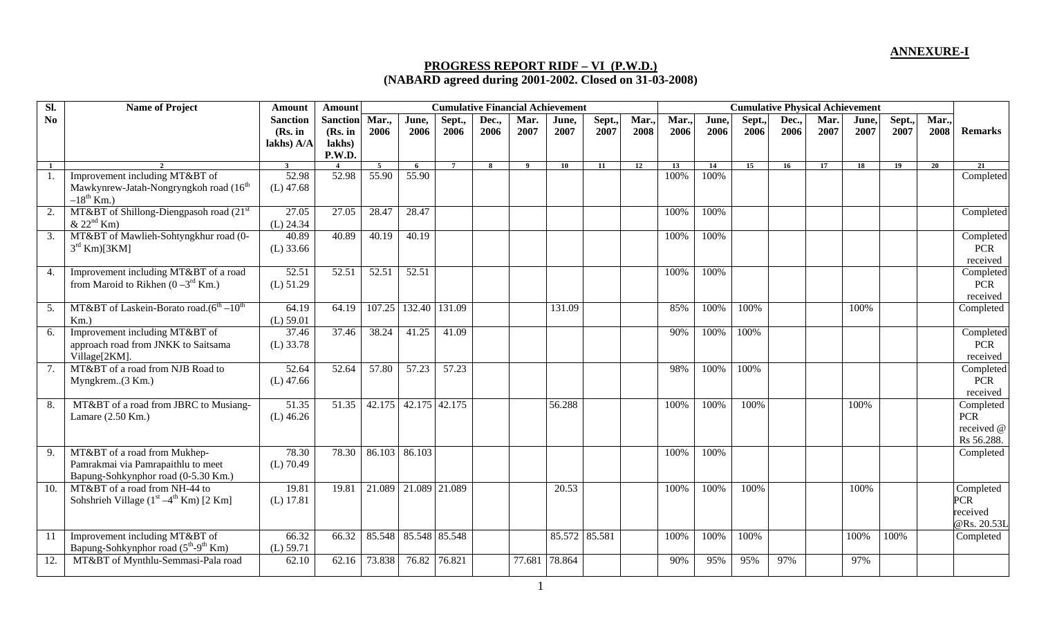## **PROGRESS REPORT RIDF – VI (P.W.D.) (NABARD agreed during 2001-2002. Closed on 31-03-2008)**

| SI.              | <b>Name of Project</b>                                                                                    | <b>Amount</b>                            | <b>Amount</b>                                  |                |                      | <b>Cumulative Financial Achievement</b> |               |              |               |                |              |              | <b>Cumulative Physical Achievement</b> |                |               |              |               |                |               |                                                     |  |
|------------------|-----------------------------------------------------------------------------------------------------------|------------------------------------------|------------------------------------------------|----------------|----------------------|-----------------------------------------|---------------|--------------|---------------|----------------|--------------|--------------|----------------------------------------|----------------|---------------|--------------|---------------|----------------|---------------|-----------------------------------------------------|--|
| No.              |                                                                                                           | <b>Sanction</b><br>(Rs. in<br>lakhs) A/A | <b>Sanction</b><br>(Rs. in<br>lakhs)<br>P.W.D. | Mar.,<br>2006  | June,<br>2006        | Sept.,<br>2006                          | Dec.,<br>2006 | Mar.<br>2007 | June,<br>2007 | Sept.,<br>2007 | Mar.<br>2008 | Mar.<br>2006 | June,<br>2006                          | Sept.,<br>2006 | Dec.,<br>2006 | Mar.<br>2007 | June,<br>2007 | Sept.,<br>2007 | Mar.,<br>2008 | <b>Remarks</b>                                      |  |
| $\mathbf{1}$     |                                                                                                           | 3                                        |                                                | $\overline{5}$ | -6                   | $\overline{7}$                          | $\mathbf{R}$  | $\bf{Q}$     | 10            | 11             | 12           | 13           | 14                                     | 15             | 16            | 17           | 18            | 19             | 20            | 21                                                  |  |
|                  | Improvement including MT&BT of<br>Mawkynrew-Jatah-Nongryngkoh road (16 <sup>th</sup><br>$-18^{th}$ Km.)   | 52.98<br>$(L)$ 47.68                     | 52.98                                          | 55.90          | 55.90                |                                         |               |              |               |                |              | 100%         | 100%                                   |                |               |              |               |                |               | Completed                                           |  |
| 2.               | MT&BT of Shillong-Diengpasoh road (21 <sup>st</sup> )<br>$& 22^{\text{nd}}$ Km)                           | 27.05<br>$(L)$ 24.34                     | 27.05                                          | 28.47          | 28.47                |                                         |               |              |               |                |              | 100%         | 100%                                   |                |               |              |               |                |               | Completed                                           |  |
| 3.               | MT&BT of Mawlieh-Sohtyngkhur road (0-<br>$3^{\text{rd}}$ Km)[3KM]                                         | 40.89<br>$(L)$ 33.66                     | 40.89                                          | 40.19          | 40.19                |                                         |               |              |               |                |              | 100%         | 100%                                   |                |               |              |               |                |               | Completed<br><b>PCR</b><br>received                 |  |
| $\overline{4}$ . | Improvement including MT&BT of a road<br>from Maroid to Rikhen $(0-3^{rd}$ Km.)                           | 52.51<br>$(L)$ 51.29                     | 52.51                                          | 52.51          | 52.51                |                                         |               |              |               |                |              | 100%         | 100%                                   |                |               |              |               |                |               | Completed<br><b>PCR</b><br>received                 |  |
| 5.               | MT&BT of Laskein-Borato road. $(6^{th} - 10^{th})$<br>$Km.$ )                                             | 64.19<br>$(L)$ 59.01                     | 64.19                                          | 107.25         | 132.40               | 131.09                                  |               |              | 131.09        |                |              | 85%          | 100%                                   | 100%           |               |              | 100%          |                |               | Completed                                           |  |
| 6.               | Improvement including MT&BT of<br>approach road from JNKK to Saitsama<br>Village[2KM].                    | 37.46<br>$(L)$ 33.78                     | 37.46                                          | 38.24          | 41.25                | 41.09                                   |               |              |               |                |              | 90%          | 100%                                   | 100%           |               |              |               |                |               | Completed<br><b>PCR</b><br>received                 |  |
| 7.               | MT&BT of a road from NJB Road to<br>Myngkrem(3 Km.)                                                       | 52.64<br>$(L)$ 47.66                     | 52.64                                          | 57.80          | 57.23                | 57.23                                   |               |              |               |                |              | 98%          | 100%                                   | 100%           |               |              |               |                |               | Completed<br><b>PCR</b><br>received                 |  |
| 8.               | MT&BT of a road from JBRC to Musiang-<br>Lamare $(2.50$ Km.)                                              | 51.35<br>$(L)$ 46.26                     | 51.35                                          | 42.175         | 42.175 42.175        |                                         |               |              | 56.288        |                |              | 100%         | 100%                                   | 100%           |               |              | 100%          |                |               | Completed<br><b>PCR</b><br>received @<br>Rs 56.288. |  |
| 9.               | MT&BT of a road from Mukhep-<br>Pamrakmai via Pamrapaithlu to meet<br>Bapung-Sohkynphor road (0-5.30 Km.) | 78.30<br>$(L)$ 70.49                     | 78.30                                          | 86.103         | 86.103               |                                         |               |              |               |                |              | 100%         | 100%                                   |                |               |              |               |                |               | Completed                                           |  |
| 10.              | MT&BT of a road from NH-44 to<br>Sohshrieh Village $(1st - 4th Km)$ [2 Km]                                | 19.81<br>$(L)$ 17.81                     | 19.81                                          |                | 21.089 21.089 21.089 |                                         |               |              | 20.53         |                |              | 100%         | 100%                                   | 100%           |               |              | 100%          |                |               | Completed<br><b>PCR</b><br>received<br>@Rs. 20.53L  |  |
| 11               | Improvement including MT&BT of<br>Bapung-Sohkynphor road (5 <sup>th</sup> -9 <sup>th</sup> Km)            | 66.32<br>$(L)$ 59.71                     | 66.32                                          | 85.548         | 85.548 85.548        |                                         |               |              | 85.572 85.581 |                |              | 100%         | 100%                                   | 100%           |               |              | 100%          | 100%           |               | Completed                                           |  |
| 12.              | MT&BT of Mynthlu-Semmasi-Pala road                                                                        | 62.10                                    | 62.16                                          | 73.838         | 76.82 76.821         |                                         |               | 77.681       | 78.864        |                |              | 90%          | 95%                                    | 95%            | 97%           |              | 97%           |                |               |                                                     |  |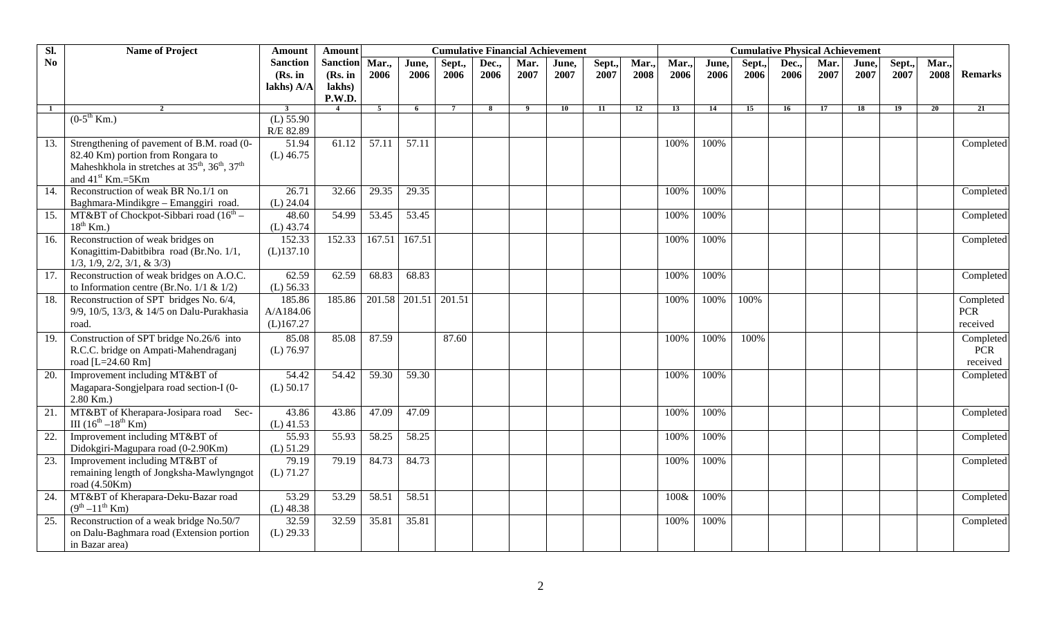| SI.               | <b>Name of Project</b>                                                                                                             | Amount                                   | <b>Amount</b>                                         |                |               | <b>Cumulative Financial Achievement</b> |               |              |               |               |              |              | <b>Cumulative Physical Achievement</b> |               |               |              |               |                |              |                                     |
|-------------------|------------------------------------------------------------------------------------------------------------------------------------|------------------------------------------|-------------------------------------------------------|----------------|---------------|-----------------------------------------|---------------|--------------|---------------|---------------|--------------|--------------|----------------------------------------|---------------|---------------|--------------|---------------|----------------|--------------|-------------------------------------|
| No                |                                                                                                                                    | <b>Sanction</b><br>(Rs. in<br>lakhs) A/A | <b>Sanction</b><br>(Rs. in<br>lakhs)<br><b>P.W.D.</b> | Mar.<br>2006   | June.<br>2006 | Sept.,<br>2006                          | Dec.,<br>2006 | Mar.<br>2007 | June,<br>2007 | Sept.<br>2007 | Mar.<br>2008 | Mar.<br>2006 | June,<br>2006                          | Sept.<br>2006 | Dec.,<br>2006 | Mar.<br>2007 | June.<br>2007 | Sept.,<br>2007 | Mar.<br>2008 | <b>Remarks</b>                      |
| $\mathbf{1}$      | $\mathfrak{D}$                                                                                                                     | $\overline{\mathbf{3}}$                  |                                                       | $\overline{5}$ | 6             | $7\overline{ }$                         | 8             | -9           | 10            | 11            | 12           | 13           | 14                                     | 15            | 16            | 17           | 18            | 19             | 20           | 21                                  |
|                   | $(0-5^{th}$ Km.)                                                                                                                   | $(L)$ 55.90<br>R/E 82.89                 |                                                       |                |               |                                         |               |              |               |               |              |              |                                        |               |               |              |               |                |              |                                     |
| 13.               | Strengthening of pavement of B.M. road (0-                                                                                         | 51.94                                    | 61.12                                                 | 57.11          | 57.11         |                                         |               |              |               |               |              | 100%         | 100%                                   |               |               |              |               |                |              | Completed                           |
|                   | 82.40 Km) portion from Rongara to<br>Maheshkhola in stretches at $35^{th}$ , $36^{th}$ , $37^{th}$<br>and 41 <sup>st</sup> Km.=5Km | $(L)$ 46.75                              |                                                       |                |               |                                         |               |              |               |               |              |              |                                        |               |               |              |               |                |              |                                     |
| 14.               | Reconstruction of weak BR No.1/1 on                                                                                                | 26.71                                    | 32.66                                                 | 29.35          | 29.35         |                                         |               |              |               |               |              | 100%         | 100%                                   |               |               |              |               |                |              | Completed                           |
|                   | Baghmara-Mindikgre - Emanggiri road.                                                                                               | $(L)$ 24.04                              |                                                       |                |               |                                         |               |              |               |               |              |              |                                        |               |               |              |               |                |              |                                     |
| 15.               | MT&BT of Chockpot-Sibbari road $(16th –$<br>$18^{th}$ Km.)                                                                         | 48.60<br>$(L)$ 43.74                     | 54.99                                                 | 53.45          | 53.45         |                                         |               |              |               |               |              | 100%         | 100%                                   |               |               |              |               |                |              | Completed                           |
| 16.               | Reconstruction of weak bridges on<br>Konagittim-Dabitbibra road (Br.No. 1/1,<br>$1/3$ , $1/9$ , $2/2$ , $3/1$ , & $3/3$ )          | 152.33<br>$(L)$ 137.10                   | 152.33                                                | 167.51         | 167.51        |                                         |               |              |               |               |              | 100%         | 100%                                   |               |               |              |               |                |              | Completed                           |
| 17.               | Reconstruction of weak bridges on A.O.C.<br>to Information centre (Br.No. $1/1$ & $1/2$ )                                          | 62.59<br>$(L)$ 56.33                     | 62.59                                                 | 68.83          | 68.83         |                                         |               |              |               |               |              | 100%         | 100%                                   |               |               |              |               |                |              | Completed                           |
| 18.               | Reconstruction of SPT bridges No. 6/4,<br>9/9, 10/5, 13/3, & 14/5 on Dalu-Purakhasia<br>road.                                      | 185.86<br>A/A184.06<br>(L)167.27         | 185.86                                                | 201.58         | 201.51        | 201.51                                  |               |              |               |               |              | 100%         | 100%                                   | 100%          |               |              |               |                |              | Completed<br><b>PCR</b><br>received |
| $\overline{19}$ . | Construction of SPT bridge No.26/6 into<br>R.C.C. bridge on Ampati-Mahendraganj<br>road [L=24.60 Rm]                               | 85.08<br>$(L)$ 76.97                     | 85.08                                                 | 87.59          |               | 87.60                                   |               |              |               |               |              | 100%         | 100%                                   | 100%          |               |              |               |                |              | Completed<br><b>PCR</b><br>received |
| 20.               | Improvement including MT&BT of<br>Magapara-Songjelpara road section-I (0-<br>$2.80$ Km.)                                           | 54.42<br>$(L)$ 50.17                     | 54.42                                                 | 59.30          | 59.30         |                                         |               |              |               |               |              | 100%         | 100%                                   |               |               |              |               |                |              | Completed                           |
| $\overline{21}$ . | MT&BT of Kherapara-Josipara road<br>Sec-<br>III $(16^{th} - 18^{th}$ Km)                                                           | 43.86<br>$(L)$ 41.53                     | 43.86                                                 | 47.09          | 47.09         |                                         |               |              |               |               |              | 100%         | 100%                                   |               |               |              |               |                |              | Completed                           |
| 22.               | Improvement including MT&BT of<br>Didokgiri-Magupara road (0-2.90Km)                                                               | 55.93<br>$(L)$ 51.29                     | 55.93                                                 | 58.25          | 58.25         |                                         |               |              |               |               |              | 100%         | 100%                                   |               |               |              |               |                |              | Completed                           |
| 23.               | Improvement including MT&BT of<br>remaining length of Jongksha-Mawlyngngot<br>road (4.50Km)                                        | 79.19<br>$(L)$ 71.27                     | 79.19                                                 | 84.73          | 84.73         |                                         |               |              |               |               |              | 100%         | 100%                                   |               |               |              |               |                |              | Completed                           |
| $\overline{24}$ . | MT&BT of Kherapara-Deku-Bazar road<br>$(9^{th} - 11^{th}$ Km)                                                                      | 53.29<br>$(L)$ 48.38                     | 53.29                                                 | 58.51          | 58.51         |                                         |               |              |               |               |              | 100&         | 100%                                   |               |               |              |               |                |              | Completed                           |
| 25.               | Reconstruction of a weak bridge No.50/7<br>on Dalu-Baghmara road (Extension portion<br>in Bazar area)                              | 32.59<br>$(L)$ 29.33                     | 32.59                                                 | 35.81          | 35.81         |                                         |               |              |               |               |              | 100%         | 100%                                   |               |               |              |               |                |              | Completed                           |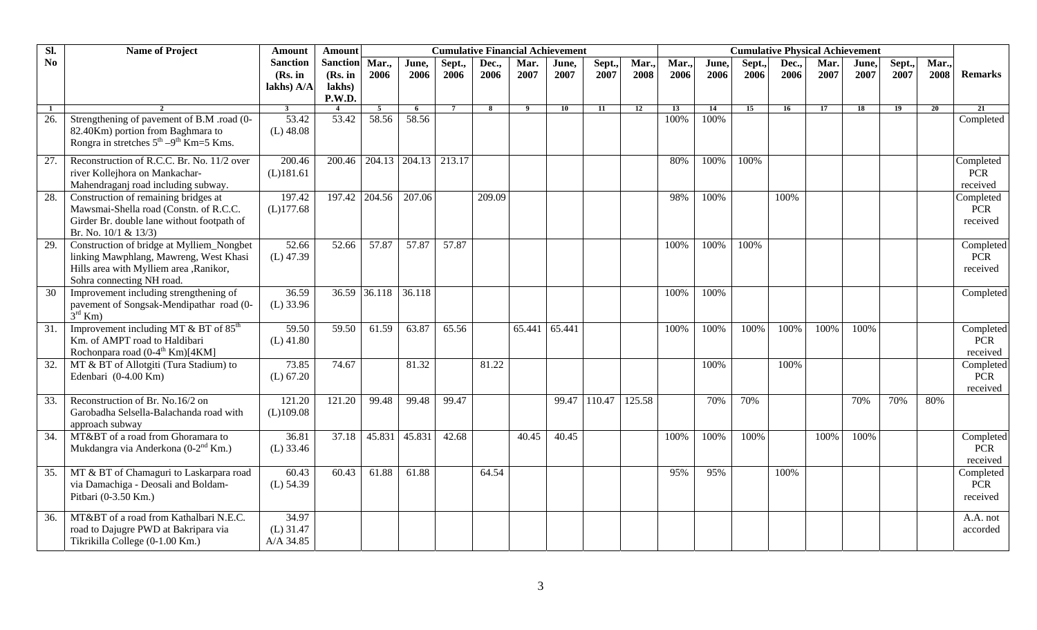| SI.               | <b>Name of Project</b>                                                                                                                                      | <b>Amount</b>                            | <b>Amount</b>                                  |              |               | <b>Cumulative Financial Achievement</b> |               |              |               |                |              | <b>Cumulative Physical Achievement</b> |               |               |               |              |               |                |              |                                     |  |
|-------------------|-------------------------------------------------------------------------------------------------------------------------------------------------------------|------------------------------------------|------------------------------------------------|--------------|---------------|-----------------------------------------|---------------|--------------|---------------|----------------|--------------|----------------------------------------|---------------|---------------|---------------|--------------|---------------|----------------|--------------|-------------------------------------|--|
| N <sub>o</sub>    |                                                                                                                                                             | <b>Sanction</b><br>(Rs. in<br>lakhs) A/A | <b>Sanction</b><br>(Rs. in<br>lakhs)<br>P.W.D. | Mar.<br>2006 | June,<br>2006 | Sept.,<br>2006                          | Dec.,<br>2006 | Mar.<br>2007 | June,<br>2007 | Sept.,<br>2007 | Mar.<br>2008 | Mar.<br>2006                           | June.<br>2006 | Sept.<br>2006 | Dec.,<br>2006 | Mar.<br>2007 | June,<br>2007 | Sept.,<br>2007 | Mar.<br>2008 | <b>Remarks</b>                      |  |
| -1                |                                                                                                                                                             | $\mathbf{3}$                             |                                                | $5^{\circ}$  | 6             | $7\phantom{.0}$                         | 8             | -9           | 10            | 11             | 12           | 13                                     | 14            | 15            | 16            | 17           | 18            | 19             | 20           | 21                                  |  |
| 26.               | Strengthening of pavement of B.M .road (0-<br>82.40Km) portion from Baghmara to<br>Rongra in stretches $5^{th} - 9^{th}$ Km=5 Kms.                          | 53.42<br>$(L)$ 48.08                     | 53.42                                          | 58.56        | 58.56         |                                         |               |              |               |                |              | 100%                                   | 100%          |               |               |              |               |                |              | Completed                           |  |
| $\overline{27}$ . | Reconstruction of R.C.C. Br. No. 11/2 over<br>river Kollejhora on Mankachar-<br>Mahendraganj road including subway.                                         | 200.46<br>(L)181.61                      | 200.46                                         | 204.13       | 204.13 213.17 |                                         |               |              |               |                |              | 80%                                    | 100%          | 100%          |               |              |               |                |              | Completed<br><b>PCR</b><br>received |  |
| 28.               | Construction of remaining bridges at<br>Mawsmai-Shella road (Constn. of R.C.C.<br>Girder Br. double lane without footpath of<br>Br. No. 10/1 & 13/3)        | 197.42<br>$(L)$ 177.68                   | $\overline{197.42}$                            | 204.56       | 207.06        |                                         | 209.09        |              |               |                |              | 98%                                    | 100%          |               | 100%          |              |               |                |              | Completed<br><b>PCR</b><br>received |  |
| 29.               | Construction of bridge at Mylliem_Nongbet<br>linking Mawphlang, Mawreng, West Khasi<br>Hills area with Mylliem area , Ranikor,<br>Sohra connecting NH road. | 52.66<br>$(L)$ 47.39                     | 52.66                                          | 57.87        | 57.87         | 57.87                                   |               |              |               |                |              | 100%                                   | 100%          | 100%          |               |              |               |                |              | Completed<br><b>PCR</b><br>received |  |
| 30                | Improvement including strengthening of<br>pavement of Songsak-Mendipathar road (0-<br>$3^{\rm rd}$ Km)                                                      | 36.59<br>$(L)$ 33.96                     |                                                | 36.59 36.118 | 36.118        |                                         |               |              |               |                |              | 100%                                   | 100%          |               |               |              |               |                |              | Completed                           |  |
| 31.               | Improvement including MT $\&$ BT of 85 <sup>th</sup><br>Km. of AMPT road to Haldibari<br>Rochonpara road (0-4 <sup>th</sup> Km)[4KM]                        | 59.50<br>$(L)$ 41.80                     | 59.50                                          | 61.59        | 63.87         | 65.56                                   |               | 65.441       | 65.441        |                |              | 100%                                   | 100%          | 100%          | 100%          | 100%         | 100%          |                |              | Completed<br><b>PCR</b><br>received |  |
| $\overline{32}$ . | MT & BT of Allotgiti (Tura Stadium) to<br>Edenbari (0-4.00 Km)                                                                                              | 73.85<br>$(L)$ 67.20                     | 74.67                                          |              | 81.32         |                                         | 81.22         |              |               |                |              |                                        | 100%          |               | 100%          |              |               |                |              | Completed<br><b>PCR</b><br>received |  |
| 33.               | Reconstruction of Br. No.16/2 on<br>Garobadha Selsella-Balachanda road with<br>approach subway                                                              | 121.20<br>(L)109.08                      | 121.20                                         | 99.48        | 99.48         | 99.47                                   |               |              |               | 99.47 110.47   | 125.58       |                                        | 70%           | 70%           |               |              | 70%           | 70%            | 80%          |                                     |  |
| 34.               | MT&BT of a road from Ghoramara to<br>Mukdangra via Anderkona (0-2 <sup>nd</sup> Km.)                                                                        | 36.81<br>$(L)$ 33.46                     | 37.18                                          | 45.831       | 45.831        | 42.68                                   |               | 40.45        | 40.45         |                |              | 100%                                   | 100%          | 100%          |               | 100%         | 100%          |                |              | Completed<br>PCR<br>received        |  |
| 35.               | MT & BT of Chamaguri to Laskarpara road<br>via Damachiga - Deosali and Boldam-<br>Pitbari (0-3.50 Km.)                                                      | 60.43<br>$(L)$ 54.39                     | 60.43                                          | 61.88        | 61.88         |                                         | 64.54         |              |               |                |              | 95%                                    | 95%           |               | 100%          |              |               |                |              | Completed<br><b>PCR</b><br>received |  |
| 36.               | MT&BT of a road from Kathalbari N.E.C.<br>road to Dajugre PWD at Bakripara via<br>Tikrikilla College (0-1.00 Km.)                                           | 34.97<br>$(L)$ 31.47<br>A/A 34.85        |                                                |              |               |                                         |               |              |               |                |              |                                        |               |               |               |              |               |                |              | A.A. not<br>accorded                |  |